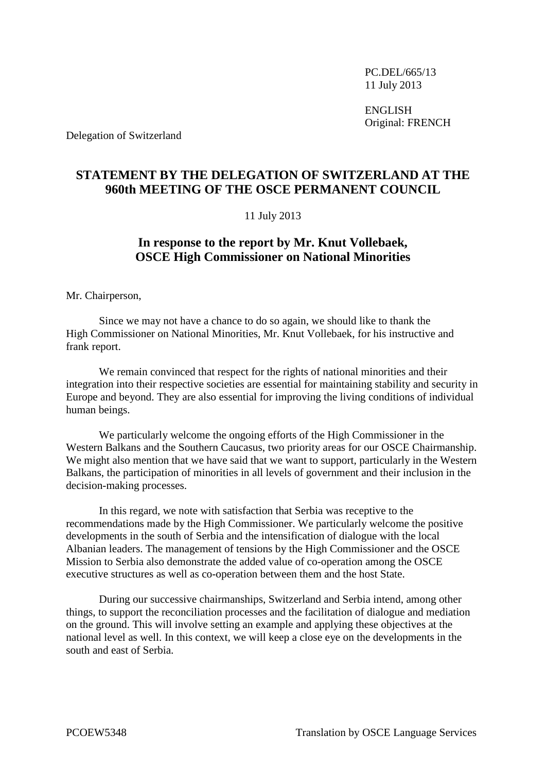PC.DEL/665/13 11 July 2013

ENGLISH Original: FRENCH

Delegation of Switzerland

## **STATEMENT BY THE DELEGATION OF SWITZERLAND AT THE 960th MEETING OF THE OSCE PERMANENT COUNCIL**

## 11 July 2013

## **In response to the report by Mr. Knut Vollebaek, OSCE High Commissioner on National Minorities**

Mr. Chairperson,

Since we may not have a chance to do so again, we should like to thank the High Commissioner on National Minorities, Mr. Knut Vollebaek, for his instructive and frank report.

We remain convinced that respect for the rights of national minorities and their integration into their respective societies are essential for maintaining stability and security in Europe and beyond. They are also essential for improving the living conditions of individual human beings.

We particularly welcome the ongoing efforts of the High Commissioner in the Western Balkans and the Southern Caucasus, two priority areas for our OSCE Chairmanship. We might also mention that we have said that we want to support, particularly in the Western Balkans, the participation of minorities in all levels of government and their inclusion in the decision-making processes.

In this regard, we note with satisfaction that Serbia was receptive to the recommendations made by the High Commissioner. We particularly welcome the positive developments in the south of Serbia and the intensification of dialogue with the local Albanian leaders. The management of tensions by the High Commissioner and the OSCE Mission to Serbia also demonstrate the added value of co-operation among the OSCE executive structures as well as co-operation between them and the host State.

During our successive chairmanships, Switzerland and Serbia intend, among other things, to support the reconciliation processes and the facilitation of dialogue and mediation on the ground. This will involve setting an example and applying these objectives at the national level as well. In this context, we will keep a close eye on the developments in the south and east of Serbia.